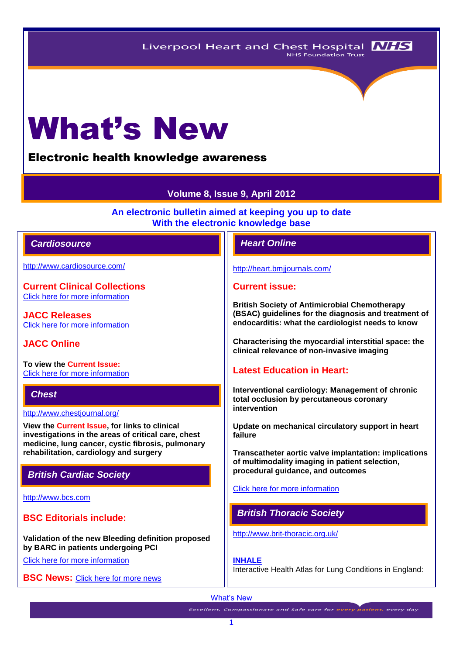Liverpool Heart and Chest Hospital **NHS** NHS Foundation Trust

# What's New

Electronic health knowledge awareness

# **Volume 8, Issue 9, April 2012**

**An electronic bulletin aimed at keeping you up to date With the electronic knowledge base**

# *Cardiosource Heart Online*

<http://www.cardiosource.com/>

**Current Clinical Collections** Click here [for more information](http://www.cardiosource.org/science-and-quality/clinical-collections.aspx)

**JACC Releases** [Click here for more information](http://www.cardiosource.org/news-media/media-center/jacc-releases.aspx)

# **JACC Online**

**To view the Current Issue:** [Click here for more information](http://content.onlinejacc.org/current.dtl)

# *Chest*

<http://www.chestjournal.org/>

**View the Current Issue, for links to clinical investigations in the areas of critical care, chest medicine, lung cancer, cystic fibrosis, pulmonary rehabilitation, cardiology and surgery**

# *British Cardiac Society*

[http://www.bcs.com](http://www.bcs.com/)

**BSC Editorials include:**

**Validation of the new Bleeding definition proposed by BARC in patients undergoing PCI**

[Click here for more information](http://www.bcs.com/editorial/editorial.asp)

**BSC News: [Click here for more news](http://www.bcs.com/pages/news_all.asp?NewsCatID=866)** 

<http://heart.bmjjournals.com/>

### **Current issue:**

**British Society of Antimicrobial Chemotherapy (BSAC) guidelines for the diagnosis and treatment of endocarditis: what the cardiologist needs to know**

**Characterising the myocardial interstitial space: the clinical relevance of non-invasive imaging**

# **Latest Education in Heart:**

**Interventional cardiology: Management of chronic total occlusion by percutaneous coronary intervention**

**Update on mechanical circulatory support in heart failure**

**Transcatheter aortic valve implantation: implications of multimodality imaging in patient selection, procedural guidance, and outcomes**

[Click here for more information](http://heart.bmj.com/site/about/education.xhtml) 

# *British Thoracic Society*

<http://www.brit-thoracic.org.uk/>

**[INHALE](http://www.brit-thoracic.org.uk/Delivery-of-Respiratory-Care/Burden-of-Lung-Disease-Reports.aspx)**

Interactive Health Atlas for Lung Conditions in England:

#### What's New

**Excellent, Compassionate and Safe care for every patient, every day**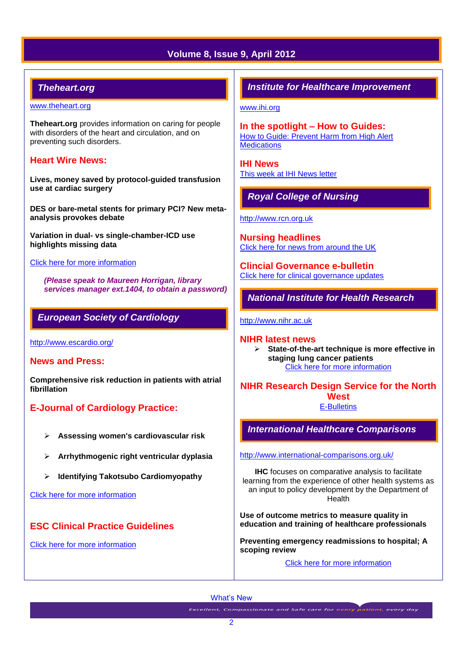# **Volume 8, Issue 9, April 2012**

# *Theheart.org*

#### [www.theheart.org](http://www.theheart.org/)

**Theheart.org** provides information on caring for people with disorders of the heart and circulation, and on preventing such disorders.

## **Heart Wire News:**

**Lives, money saved by protocol-guided transfusion use at cardiac surgery**

**DES or bare-metal stents for primary PCI? New metaanalysis provokes debate**

**Variation in dual- vs single-chamber-ICD use highlights missing data**

#### [Click here for more](http://www.theheart.org/section/heartwire.do) information

*(Please speak to Maureen Horrigan, library services manager ext.1404, to obtain a password)*

# *European Society of Cardiology*

<http://www.escardio.org/>

#### **News and Press:**

**Comprehensive risk reduction in patients with atrial fibrillation**

# **E-Journal of Cardiology Practice:**

- **Assessing women's cardiovascular risk**
- **Arrhythmogenic right ventricular dyplasia**
- **Identifying Takotsubo Cardiomyopathy**

[Click here for more information](http://www.escardio.org/communities/councils/ccp/e-journal/volume10/Pages/welcome.aspx)

# **ESC Clinical Practice Guidelines**

[Click here for more information](http://www.escardio.org/guidelines-surveys/esc-guidelines/Pages/ACS-non-ST-segment-elevation.aspx)

# *Institute for Healthcare Improvement*

[www.ihi.org](http://www.ihi.org/)

**In the spotlight – How to Guides:** [How to Guide: Prevent Harm from High Alert](http://www.ihi.org/knowledge/Pages/Tools/HowtoGuidePreventHarmfromHighAlertMedications.aspx)  **[Medications](http://www.ihi.org/knowledge/Pages/Tools/HowtoGuidePreventHarmfromHighAlertMedications.aspx)** 

**IHI News**  [This week at IHI News letter](http://www.ihi.org/Documents/ThisWeekatIHI.htm) 

# *Royal College of Nursing*

[http://www.rcn.org.uk](http://www.rcn.org.uk/)

**Nursing headlines** [Click here for news from around the UK](http://www.rcn.org.uk/newsevents/news)

**Clincial Governance e-bulletin** [Click here for clinical governance updates](http://www.rcn.org.uk/development/practice/clinical_governance/updates)

*National Institute for Health Research* 

[http://www.nihr.ac.uk](http://www.nihr.ac.uk/)

**NIHR latest news**

 **State-of-the-art technique is more effective in staging lung cancer patients**  [Click here for more information](http://www.nihr.ac.uk/news/Pages/default.aspx)

**NIHR Research Design Service for the North West**

[E-Bulletins](http://www.rds-nw.nihr.ac.uk/newstrainingevents/ebulletin.php)

*International Healthcare Comparisons*

<http://www.international-comparisons.org.uk/>

**IHC** focuses on comparative analysis to facilitate learning from the experience of other health systems as an input to policy development by the Department of **Health** 

**Use of outcome metrics to measure quality in education and training of healthcare professionals** 

**Preventing emergency readmissions to hospital; A scoping review** 

[Click here for more information](http://www.international-comparisons.org.uk/publications/) 

What's New

Excellent, Compassionate and Safe care for every patient, every day